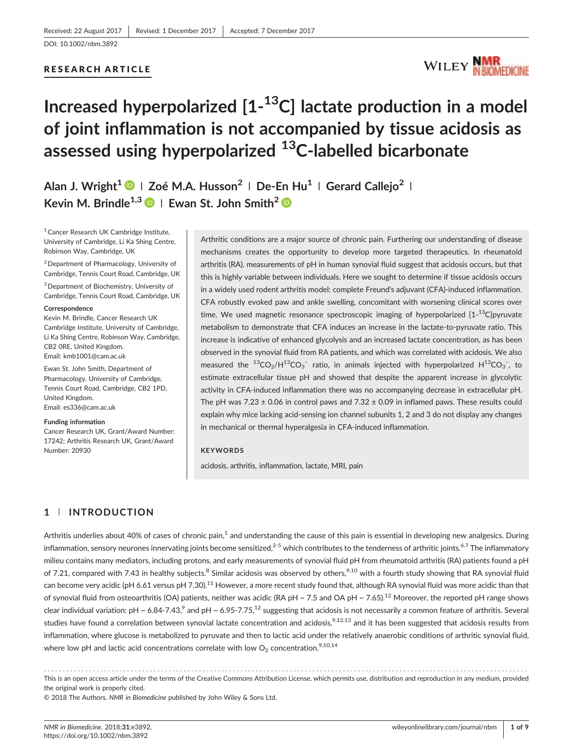#### RESEARCH ARTICLE



# Increased hyperpolarized [1-<sup>13</sup>C] lactate production in a model of joint inflammation is not accompanied by tissue acidosis as assessed using hyperpolarized <sup>13</sup>C-labelled bicarbonate

Alan J. Wright<sup>1</sup> | Zoé M.A. Husson<sup>2</sup> | De-En Hu<sup>1</sup> | Gerard Callejo<sup>2</sup> | Kevin M. Brindle<sup>1,3</sup>  $\bullet$  | Ewan St. John Smith<sup>2</sup>  $\bullet$ 

<sup>1</sup> Cancer Research UK Cambridge Institute, University of Cambridge, Li Ka Shing Centre, Robinson Way, Cambridge, UK

<sup>2</sup> Department of Pharmacology, University of Cambridge, Tennis Court Road, Cambridge, UK

3Department of Biochemistry, University of Cambridge, Tennis Court Road, Cambridge, UK

#### **Correspondence**

Kevin M. Brindle, Cancer Research UK Cambridge Institute, University of Cambridge, Li Ka Shing Centre, Robinson Way, Cambridge, CB2 0RE, United Kingdom. Email: [kmb1001@cam.ac.uk](mailto:kmb1001@cam.ac.uk)

Ewan St. John Smith, Department of Pharmacology, University of Cambridge, Tennis Court Road, Cambridge, CB2 1PD, United Kingdom. Email: [es336@cam.ac.uk](mailto:es336@cam.ac.uk)

#### Funding information

Cancer Research UK, Grant/Award Number: 17242; Arthritis Research UK, Grant/Award Number: 20930

Arthritic conditions are a major source of chronic pain. Furthering our understanding of disease mechanisms creates the opportunity to develop more targeted therapeutics. In rheumatoid arthritis (RA), measurements of pH in human synovial fluid suggest that acidosis occurs, but that this is highly variable between individuals. Here we sought to determine if tissue acidosis occurs in a widely used rodent arthritis model: complete Freund's adjuvant (CFA)-induced inflammation. CFA robustly evoked paw and ankle swelling, concomitant with worsening clinical scores over time. We used magnetic resonance spectroscopic imaging of hyperpolarized [1-<sup>13</sup>C]pyruvate metabolism to demonstrate that CFA induces an increase in the lactate‐to‐pyruvate ratio. This increase is indicative of enhanced glycolysis and an increased lactate concentration, as has been observed in the synovial fluid from RA patients, and which was correlated with acidosis. We also measured the  $^{13}CO_2/H^{13}CO_3^-$  ratio, in animals injected with hyperpolarized  $H^{13}CO_3^-$ , to estimate extracellular tissue pH and showed that despite the apparent increase in glycolytic activity in CFA‐induced inflammation there was no accompanying decrease in extracellular pH. The pH was 7.23  $\pm$  0.06 in control paws and 7.32  $\pm$  0.09 in inflamed paws. These results could explain why mice lacking acid‐sensing ion channel subunits 1, 2 and 3 do not display any changes in mechanical or thermal hyperalgesia in CFA‐induced inflammation.

#### **KEYWORDS**

acidosis, arthritis, inflammation, lactate, MRI, pain

#### 1 | INTRODUCTION

Arthritis underlies about 40% of cases of chronic pain, $<sup>1</sup>$  and understanding the cause of this pain is essential in developing new analgesics. During</sup> inflammation, sensory neurones innervating joints become sensitized,<sup>2-5</sup> which contributes to the tenderness of arthritic joints.<sup>6,7</sup> The inflammatory milieu contains many mediators, including protons, and early measurements of synovial fluid pH from rheumatoid arthritis (RA) patients found a pH of 7.21, compared with 7.43 in healthy subjects.<sup>8</sup> Similar acidosis was observed by others,<sup>9,10</sup> with a fourth study showing that RA synovial fluid can become very acidic (pH 6.61 versus pH 7.30).<sup>11</sup> However, a more recent study found that, although RA synovial fluid was more acidic than that of synovial fluid from osteoarthritis (OA) patients, neither was acidic (RA pH ~ 7.5 and OA pH ~ 7.65).<sup>12</sup> Moreover, the reported pH range shows clear individual variation: pH ~ 6.84-7.43,<sup>9</sup> and pH ~ 6.95-7.75,<sup>12</sup> suggesting that acidosis is not necessarily a common feature of arthritis. Several studies have found a correlation between synovial lactate concentration and acidosis,<sup>9,12,13</sup> and it has been suggested that acidosis results from inflammation, where glucose is metabolized to pyruvate and then to lactic acid under the relatively anaerobic conditions of arthritic synovial fluid, where low pH and lactic acid concentrations correlate with low  $O_2$  concentration.<sup>9,10,14</sup>

------------------------------------------------------------------------------------------------------------------------------- - This is an open access article under the terms of the [Creative Commons Attribution](http://creativecommons.org/licenses/by/4.0/) License, which permits use, distribution and reproduction in any medium, provided

the original work is properly cited.

© 2018 The Authors. NMR in Biomedicine published by John Wiley & Sons Ltd.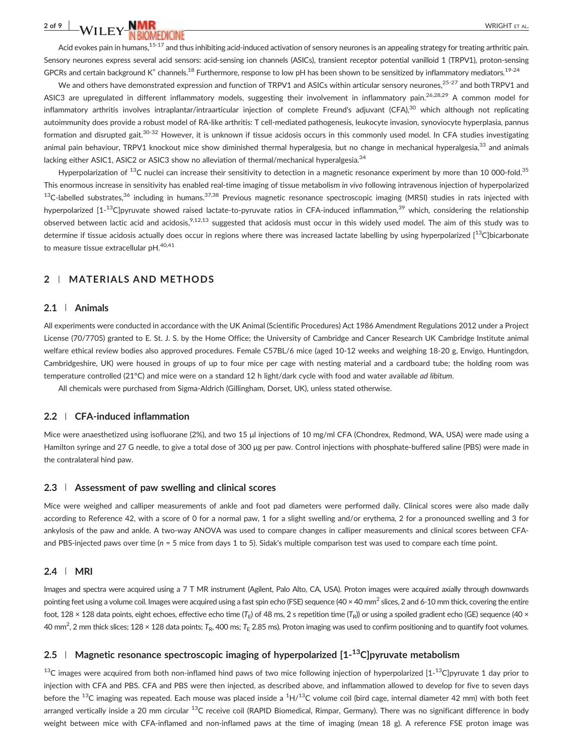# $2$  of 9  $\parallel$  value  $\parallel$  value  $\parallel$  which the set of  $\parallel$  value  $\parallel$  which the set of  $\parallel$  value  $\parallel$  value  $\parallel$  value  $\parallel$  value  $\parallel$  value  $\parallel$  value  $\parallel$  value  $\parallel$  value  $\parallel$  value  $\parallel$  value  $\parallel$  value  $\parallel$  value  $\parallel$

Acid evokes pain in humans,<sup>15-17</sup> and thus inhibiting acid-induced activation of sensory neurones is an appealing strategy for treating arthritic pain. Sensory neurones express several acid sensors: acid‐sensing ion channels (ASICs), transient receptor potential vanilloid 1 (TRPV1), proton‐sensing GPCRs and certain background K<sup>+</sup> channels.<sup>18</sup> Furthermore, response to low pH has been shown to be sensitized by inflammatory mediators.<sup>19-24</sup>

We and others have demonstrated expression and function of TRPV1 and ASICs within articular sensory neurones,<sup>25-27</sup> and both TRPV1 and ASIC3 are upregulated in different inflammatory models, suggesting their involvement in inflammatory pain.<sup>26,28,29</sup> A common model for inflammatory arthritis involves intraplantar/intraarticular injection of complete Freund's adjuvant (CFA),<sup>30</sup> which although not replicating autoimmunity does provide a robust model of RA‐like arthritis: T cell‐mediated pathogenesis, leukocyte invasion, synoviocyte hyperplasia, pannus formation and disrupted gait.<sup>30-32</sup> However, it is unknown if tissue acidosis occurs in this commonly used model. In CFA studies investigating animal pain behaviour, TRPV1 knockout mice show diminished thermal hyperalgesia, but no change in mechanical hyperalgesia,<sup>33</sup> and animals lacking either ASIC1, ASIC2 or ASIC3 show no alleviation of thermal/mechanical hyperalgesia.<sup>34</sup>

Hyperpolarization of <sup>13</sup>C nuclei can increase their sensitivity to detection in a magnetic resonance experiment by more than 10 000-fold.<sup>35</sup> This enormous increase in sensitivity has enabled real-time imaging of tissue metabolism in vivo following intravenous injection of hyperpolarized  $^{13}$ C-labelled substrates,<sup>36</sup> including in humans.<sup>37,38</sup> Previous magnetic resonance spectroscopic imaging (MRSI) studies in rats injected with hyperpolarized [1-<sup>13</sup>C]pyruvate showed raised lactate-to-pyruvate ratios in CFA-induced inflammation,<sup>39</sup> which, considering the relationship observed between lactic acid and acidosis,<sup>9,12,13</sup> suggested that acidosis must occur in this widely used model. The aim of this study was to determine if tissue acidosis actually does occur in regions where there was increased lactate labelling by using hyperpolarized  $1^{13}$ C]bicarbonate to measure tissue extracellular pH.<sup>40,41</sup>

#### 2 | MATERIALS AND METHODS

#### 2.1 | Animals

All experiments were conducted in accordance with the UK Animal (Scientific Procedures) Act 1986 Amendment Regulations 2012 under a Project License (70/7705) granted to E. St. J. S. by the Home Office; the University of Cambridge and Cancer Research UK Cambridge Institute animal welfare ethical review bodies also approved procedures. Female C57BL/6 mice (aged 10‐12 weeks and weighing 18‐20 g, Envigo, Huntingdon, Cambridgeshire, UK) were housed in groups of up to four mice per cage with nesting material and a cardboard tube; the holding room was temperature controlled (21°C) and mice were on a standard 12 h light/dark cycle with food and water available ad libitum.

All chemicals were purchased from Sigma‐Aldrich (Gillingham, Dorset, UK), unless stated otherwise.

#### 2.2 | CFA‐induced inflammation

Mice were anaesthetized using isofluorane (2%), and two 15 μl injections of 10 mg/ml CFA (Chondrex, Redmond, WA, USA) were made using a Hamilton syringe and 27 G needle, to give a total dose of 300 μg per paw. Control injections with phosphate-buffered saline (PBS) were made in the contralateral hind paw.

#### 2.3 | Assessment of paw swelling and clinical scores

Mice were weighed and calliper measurements of ankle and foot pad diameters were performed daily. Clinical scores were also made daily according to Reference 42, with a score of 0 for a normal paw, 1 for a slight swelling and/or erythema, 2 for a pronounced swelling and 3 for ankylosis of the paw and ankle. A two-way ANOVA was used to compare changes in calliper measurements and clinical scores between CFAand PBS-injected paws over time ( $n = 5$  mice from days 1 to 5). Sidak's multiple comparison test was used to compare each time point.

#### 2.4 | MRI

Images and spectra were acquired using a 7 T MR instrument (Agilent, Palo Alto, CA, USA). Proton images were acquired axially through downwards pointing feet using a volume coil. Images were acquired using a fast spin echo (FSE) sequence (40 × 40 mm<sup>2</sup> slices, 2 and 6-10 mm thick, covering the entire foot, 128 × 128 data points, eight echoes, effective echo time (T<sub>E</sub>) of 48 ms, 2 s repetition time (T<sub>R</sub>)) or using a spoiled gradient echo (GE) sequence (40 × 40 mm<sup>2</sup>, 2 mm thick slices; 128 × 128 data points; T<sub>R</sub>, 400 ms; T<sub>E</sub> 2.85 ms). Proton imaging was used to confirm positioning and to quantify foot volumes.

#### 2.5 | Magnetic resonance spectroscopic imaging of hyperpolarized [1-<sup>13</sup>C]pyruvate metabolism

 $13$ C images were acquired from both non-inflamed hind paws of two mice following injection of hyperpolarized [1- $^{13}$ C]pyruvate 1 day prior to injection with CFA and PBS. CFA and PBS were then injected, as described above, and inflammation allowed to develop for five to seven days before the  $^{13}$ C imaging was repeated. Each mouse was placed inside a  $^1$ H/ $^{13}$ C volume coil (bird cage, internal diameter 42 mm) with both feet arranged vertically inside a 20 mm circular <sup>13</sup>C receive coil (RAPID Biomedical, Rimpar, Germany). There was no significant difference in body weight between mice with CFA-inflamed and non-inflamed paws at the time of imaging (mean 18 g). A reference FSE proton image was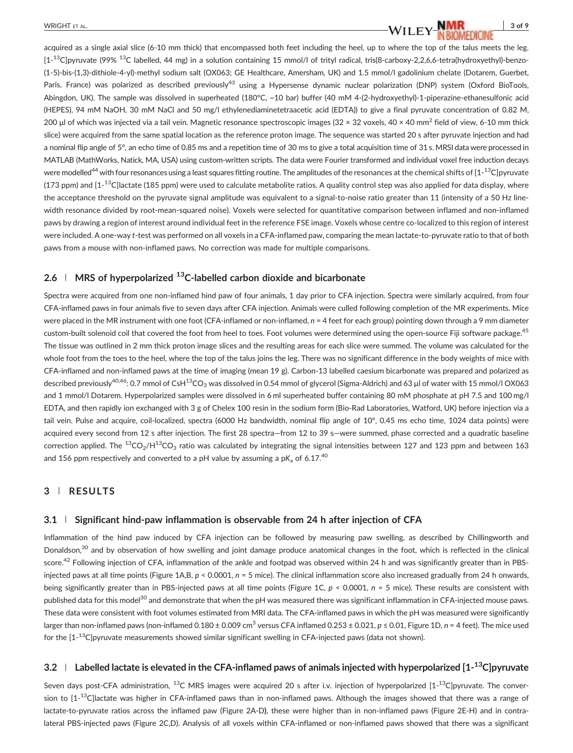acquired as a single axial slice (6‐10 mm thick) that encompassed both feet including the heel, up to where the top of the talus meets the leg. [1-<sup>13</sup>C]pyruvate (99% <sup>13</sup>C labelled, 44 mg) in a solution containing 15 mmol/l of trityl radical, tris(8-carboxy-2,2,6,6-tetra(hydroxyethyl)-benzo-(1‐5)‐bis‐(1,3)‐dithiole‐4‐yl)‐methyl sodium salt (OX063; GE Healthcare, Amersham, UK) and 1.5 mmol/l gadolinium chelate (Dotarem, Guerbet, Paris, France) was polarized as described previously<sup>43</sup> using a Hypersense dynamic nuclear polarization (DNP) system (Oxford BioTools, Abingdon, UK). The sample was dissolved in superheated (180°C, ~10 bar) buffer (40 mM 4‐(2‐hydroxyethyl)‐1‐piperazine‐ethanesulfonic acid (HEPES), 94 mM NaOH, 30 mM NaCl and 50 mg/l ethylenediaminetetraacetic acid (EDTA)) to give a final pyruvate concentration of 0.82 M, 200 μl of which was injected via a tail vein. Magnetic resonance spectroscopic images (32 × 32 voxels, 40 × 40 mm<sup>2</sup> field of view, 6-10 mm thick slice) were acquired from the same spatial location as the reference proton image. The sequence was started 20 s after pyruvate injection and had a nominal flip angle of 5°, an echo time of 0.85 ms and a repetition time of 30 ms to give a total acquisition time of 31 s. MRSI data were processed in MATLAB (MathWorks, Natick, MA, USA) using custom-written scripts. The data were Fourier transformed and individual voxel free induction decays were modelled<sup>44</sup> with four resonances using a least squares fitting routine. The amplitudes of the resonances at the chemical shifts of [1-<sup>13</sup>C]pyruvate (173 ppm) and [1- $^{13}$ C]lactate (185 ppm) were used to calculate metabolite ratios. A quality control step was also applied for data display, where the acceptance threshold on the pyruvate signal amplitude was equivalent to a signal-to-noise ratio greater than 11 (intensity of a 50 Hz linewidth resonance divided by root‐mean‐squared noise). Voxels were selected for quantitative comparison between inflamed and non‐inflamed paws by drawing a region of interest around individual feet in the reference FSE image. Voxels whose centre co-localized to this region of interest were included. A one-way t-test was performed on all voxels in a CFA-inflamed paw, comparing the mean lactate-to-pyruvate ratio to that of both paws from a mouse with non‐inflamed paws. No correction was made for multiple comparisons.

### 2.6 | MRS of hyperpolarized  $^{13}$ C-labelled carbon dioxide and bicarbonate

Spectra were acquired from one non‐inflamed hind paw of four animals, 1 day prior to CFA injection. Spectra were similarly acquired, from four CFA‐inflamed paws in four animals five to seven days after CFA injection. Animals were culled following completion of the MR experiments. Mice were placed in the MR instrument with one foot (CFA-inflamed or non-inflamed,  $n = 4$  feet for each group) pointing down through a 9 mm diameter custom-built solenoid coil that covered the foot from heel to toes. Foot volumes were determined using the open-source Fiji software package.<sup>45</sup> The tissue was outlined in 2 mm thick proton image slices and the resulting areas for each slice were summed. The volume was calculated for the whole foot from the toes to the heel, where the top of the talus joins the leg. There was no significant difference in the body weights of mice with CFA‐inflamed and non‐inflamed paws at the time of imaging (mean 19 g). Carbon‐13 labelled caesium bicarbonate was prepared and polarized as described previously<sup>40,46</sup>: 0.7 mmol of CsH<sup>13</sup>CO<sub>3</sub> was dissolved in 0.54 mmol of glycerol (Sigma-Aldrich) and 63 μl of water with 15 mmol/l OX063 and 1 mmol/l Dotarem. Hyperpolarized samples were dissolved in 6 ml superheated buffer containing 80 mM phosphate at pH 7.5 and 100 mg/l EDTA, and then rapidly ion exchanged with 3 g of Chelex 100 resin in the sodium form (Bio‐Rad Laboratories, Watford, UK) before injection via a tail vein. Pulse and acquire, coil‐localized, spectra (6000 Hz bandwidth, nominal flip angle of 10°, 0.45 ms echo time, 1024 data points) were acquired every second from 12 s after injection. The first 28 spectra—from 12 to 39 s—were summed, phase corrected and a quadratic baseline correction applied. The <sup>13</sup>CO<sub>2</sub>/H<sup>13</sup>CO<sub>3</sub> ratio was calculated by integrating the signal intensities between 127 and 123 ppm and between 163 and 156 ppm respectively and converted to a pH value by assuming a pK<sub>a</sub> of 6.17.<sup>40</sup>

#### 3 | RESULTS

#### 3.1 | Significant hind‐paw inflammation is observable from 24 h after injection of CFA

Inflammation of the hind paw induced by CFA injection can be followed by measuring paw swelling, as described by Chillingworth and Donaldson,<sup>30</sup> and by observation of how swelling and joint damage produce anatomical changes in the foot, which is reflected in the clinical score.<sup>42</sup> Following injection of CFA, inflammation of the ankle and footpad was observed within 24 h and was significantly greater than in PBSinjected paws at all time points (Figure 1A,B,  $p < 0.0001$ ,  $n = 5$  mice). The clinical inflammation score also increased gradually from 24 h onwards, being significantly greater than in PBS-injected paws at all time points (Figure 1C,  $p < 0.0001$ ,  $n = 5$  mice). These results are consistent with published data for this model<sup>30</sup> and demonstrate that when the pH was measured there was significant inflammation in CFA-injected mouse paws. These data were consistent with foot volumes estimated from MRI data. The CFA‐inflamed paws in which the pH was measured were significantly larger than non-inflamed paws (non-inflamed 0.180 ± 0.009 cm<sup>3</sup> versus CFA inflamed 0.253 ± 0.021, p ≤ 0.01, Figure 1D, n = 4 feet). The mice used for the [1-<sup>13</sup>C]pyruvate measurements showed similar significant swelling in CFA-injected paws (data not shown).

### 3.2  $\pm$  Labelled lactate is elevated in the CFA-inflamed paws of animals injected with hyperpolarized [1- $^{13}$ C]pyruvate

Seven days post-CFA administration, <sup>13</sup>C MRS images were acquired 20 s after i.v. injection of hyperpolarized [1-<sup>13</sup>C]pyruvate. The conversion to [1-<sup>13</sup>C]lactate was higher in CFA-inflamed paws than in non-inflamed paws. Although the images showed that there was a range of lactate‐to‐pyruvate ratios across the inflamed paw (Figure 2A‐D), these were higher than in non‐inflamed paws (Figure 2E‐H) and in contralateral PBS‐injected paws (Figure 2C,D). Analysis of all voxels within CFA‐inflamed or non‐inflamed paws showed that there was a significant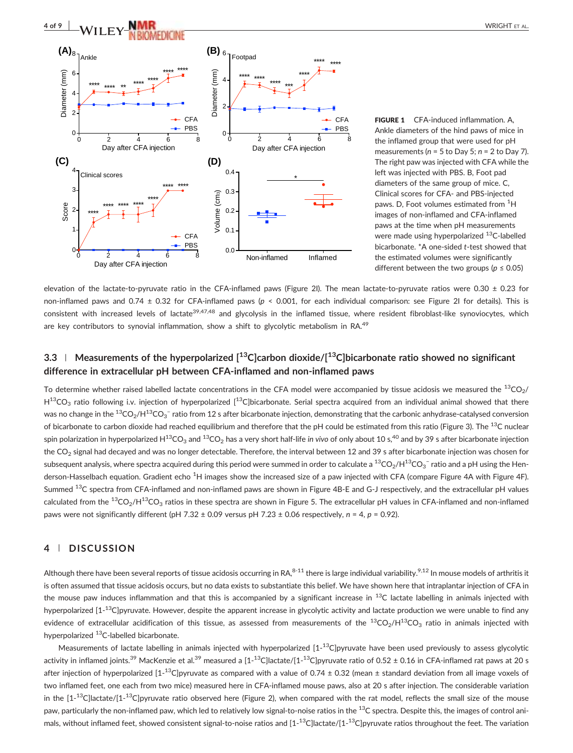

FIGURE 1 CFA-induced inflammation. A, Ankle diameters of the hind paws of mice in the inflamed group that were used for pH measurements ( $n = 5$  to Day 5;  $n = 2$  to Day 7). The right paw was injected with CFA while the left was injected with PBS. B, Foot pad diameters of the same group of mice. C, Clinical scores for CFA‐ and PBS‐injected paws. D, Foot volumes estimated from <sup>1</sup>H images of non‐inflamed and CFA‐inflamed paws at the time when pH measurements were made using hyperpolarized <sup>13</sup>C-labelled bicarbonate. \*A one‐sided t‐test showed that the estimated volumes were significantly different between the two groups ( $p \le 0.05$ )

elevation of the lactate‐to‐pyruvate ratio in the CFA‐inflamed paws (Figure 2I). The mean lactate‐to‐pyruvate ratios were 0.30 ± 0.23 for non-inflamed paws and 0.74 ± 0.32 for CFA-inflamed paws ( $p \le 0.001$ , for each individual comparison: see Figure 21 for details). This is consistent with increased levels of lactate<sup>39,47,48</sup> and glycolysis in the inflamed tissue, where resident fibroblast-like synoviocytes, which are key contributors to synovial inflammation, show a shift to glycolytic metabolism in RA.<sup>49</sup>

## 3.3 | Measurements of the hyperpolarized  $[$ <sup>13</sup>C]carbon dioxide/ $[$ <sup>13</sup>C]bicarbonate ratio showed no significant difference in extracellular pH between CFA‐inflamed and non‐inflamed paws

To determine whether raised labelled lactate concentrations in the CFA model were accompanied by tissue acidosis we measured the  $^{13}CO<sub>2</sub>/$  $H^{13}CO_3$  ratio following i.v. injection of hyperpolarized  $[13C]$ bicarbonate. Serial spectra acquired from an individual animal showed that there was no change in the  $^{13} \rm CO_2/H^{13}CO_3^-$  ratio from 12 s after bicarbonate injection, demonstrating that the carbonic anhydrase-catalysed conversion of bicarbonate to carbon dioxide had reached equilibrium and therefore that the pH could be estimated from this ratio (Figure 3). The  $^{13}$ C nuclear spin polarization in hyperpolarized H<sup>13</sup>CO<sub>3</sub> and <sup>13</sup>CO<sub>2</sub> has a very short half-life in vivo of only about 10 s,<sup>40</sup> and by 39 s after bicarbonate injection the CO<sub>2</sub> signal had decayed and was no longer detectable. Therefore, the interval between 12 and 39 s after bicarbonate injection was chosen for subsequent analysis, where spectra acquired during this period were summed in order to calculate a  $\rm{^{13}CO_{2}/H^{13}CO_{3}}$  ratio and a pH using the Henderson-Hasselbach equation. Gradient echo <sup>1</sup>H images show the increased size of a paw injected with CFA (compare Figure 4A with Figure 4F). Summed <sup>13</sup>C spectra from CFA-inflamed and non-inflamed paws are shown in Figure 4B-E and G-J respectively, and the extracellular pH values calculated from the  ${}^{13}CO_2/H{}^{13}CO_3$  ratios in these spectra are shown in Figure 5. The extracellular pH values in CFA-inflamed and non-inflamed paws were not significantly different (pH 7.32  $\pm$  0.09 versus pH 7.23  $\pm$  0.06 respectively, n = 4, p = 0.92).

#### 4 | DISCUSSION

Although there have been several reports of tissue acidosis occurring in RA, $8-11$  there is large individual variability.<sup>9,12</sup> In mouse models of arthritis it is often assumed that tissue acidosis occurs, but no data exists to substantiate this belief. We have shown here that intraplantar injection of CFA in the mouse paw induces inflammation and that this is accompanied by a significant increase in  $^{13}$ C lactate labelling in animals injected with hyperpolarized [1-<sup>13</sup>C]pyruvate. However, despite the apparent increase in glycolytic activity and lactate production we were unable to find any evidence of extracellular acidification of this tissue, as assessed from measurements of the  ${}^{13}CO_2/H{}^{13}CO_3$  ratio in animals injected with hyperpolarized <sup>13</sup>C-labelled bicarbonate.

Measurements of lactate labelling in animals injected with hyperpolarized [1-<sup>13</sup>C]pyruvate have been used previously to assess glycolytic activity in inflamed joints. $^{39}$  MacKenzie et al. $^{39}$  measured a [1- $^{13}$ C]lactate/[1- $^{13}$ C]pyruvate ratio of 0.52 ± 0.16 in CFA-inflamed rat paws at 20 s after injection of hyperpolarized [1-<sup>13</sup>C]pyruvate as compared with a value of 0.74 ± 0.32 (mean ± standard deviation from all image voxels of two inflamed feet, one each from two mice) measured here in CFA‐inflamed mouse paws, also at 20 s after injection. The considerable variation in the [1-<sup>13</sup>C]lactate/[1-<sup>13</sup>C]pyruvate ratio observed here (Figure 2), when compared with the rat model, reflects the small size of the mouse paw, particularly the non-inflamed paw, which led to relatively low signal-to-noise ratios in the <sup>13</sup>C spectra. Despite this, the images of control animals, without inflamed feet, showed consistent signal-to-noise ratios and [1-<sup>13</sup>C]lactate/[1-<sup>13</sup>C]pyruvate ratios throughout the feet. The variation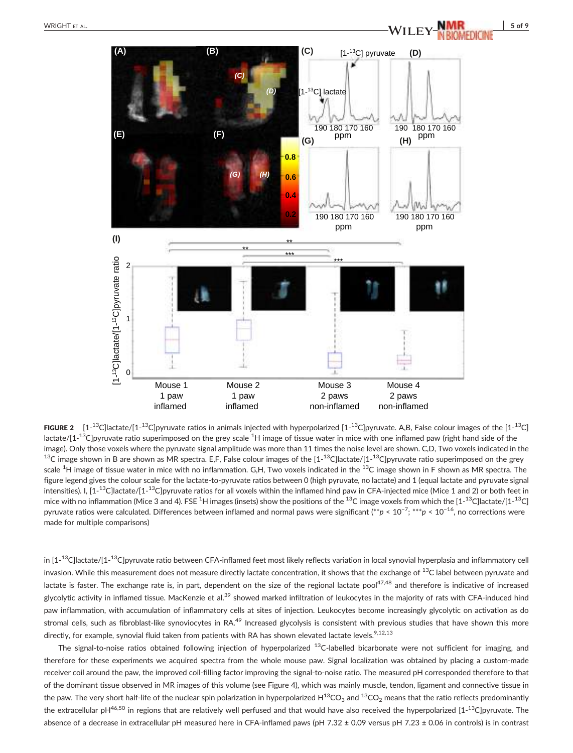

**FIGURE 2** [1-<sup>13</sup>C]lactate/[1-<sup>13</sup>C]pyruvate ratios in animals injected with hyperpolarized [1-<sup>13</sup>C]pyruvate. A,B, False colour images of the [1-<sup>13</sup>C] lactate/[1-<sup>13</sup>C]pyruvate ratio superimposed on the grey scale <sup>1</sup>H image of tissue water in mice with one inflamed paw (right hand side of the image). Only those voxels where the pyruvate signal amplitude was more than 11 times the noise level are shown. C,D, Two voxels indicated in the  $^{13}$ C image shown in B are shown as MR spectra. E,F, False colour images of the [1- $^{13}$ C]lactate/[1- $^{13}$ C]pyruvate ratio superimposed on the grey scale <sup>1</sup>H image of tissue water in mice with no inflammation. G,H, Two voxels indicated in the <sup>13</sup>C image shown in F shown as MR spectra. The figure legend gives the colour scale for the lactate‐to‐pyruvate ratios between 0 (high pyruvate, no lactate) and 1 (equal lactate and pyruvate signal intensities). I, [1-<sup>13</sup>C]lactate/[1-<sup>13</sup>C]pyruvate ratios for all voxels within the inflamed hind paw in CFA-injected mice (Mice 1 and 2) or both feet in mice with no inflammation (Mice 3 and 4). FSE  $^1$ H images (insets) show the positions of the  $^{13}$ C image voxels from which the [1- $^{13}$ C]lactate/[1- $^{13}$ C] pyruvate ratios were calculated. Differences between inflamed and normal paws were significant (\*\*p < 10<sup>−7</sup>; \*\*\*p < 10<sup>−16</sup>, no corrections were made for multiple comparisons)

in [1- $^{13}$ C]lactate/[1- $^{13}$ C]pyruvate ratio between CFA-inflamed feet most likely reflects variation in local synovial hyperplasia and inflammatory cell invasion. While this measurement does not measure directly lactate concentration, it shows that the exchange of <sup>13</sup>C label between pyruvate and lactate is faster. The exchange rate is, in part, dependent on the size of the regional lactate pool<sup>47,48</sup> and therefore is indicative of increased glycolytic activity in inflamed tissue. MacKenzie et al.<sup>39</sup> showed marked infiltration of leukocytes in the majority of rats with CFA-induced hind paw inflammation, with accumulation of inflammatory cells at sites of injection. Leukocytes become increasingly glycolytic on activation as do stromal cells, such as fibroblast-like synoviocytes in RA.<sup>49</sup> Increased glycolysis is consistent with previous studies that have shown this more directly, for example, synovial fluid taken from patients with RA has shown elevated lactate levels.<sup>9,12,13</sup>

The signal-to-noise ratios obtained following injection of hyperpolarized  $^{13}$ C-labelled bicarbonate were not sufficient for imaging, and therefore for these experiments we acquired spectra from the whole mouse paw. Signal localization was obtained by placing a custom-made receiver coil around the paw, the improved coil‐filling factor improving the signal‐to‐noise ratio. The measured pH corresponded therefore to that of the dominant tissue observed in MR images of this volume (see Figure 4), which was mainly muscle, tendon, ligament and connective tissue in the paw. The very short half-life of the nuclear spin polarization in hyperpolarized  $H^{13}CO_3$  and  $^{13}CO_2$  means that the ratio reflects predominantly the extracellular pH<sup>46,50</sup> in regions that are relatively well perfused and that would have also received the hyperpolarized [1-<sup>13</sup>C]pyruvate. The absence of a decrease in extracellular pH measured here in CFA‐inflamed paws (pH 7.32 ± 0.09 versus pH 7.23 ± 0.06 in controls) is in contrast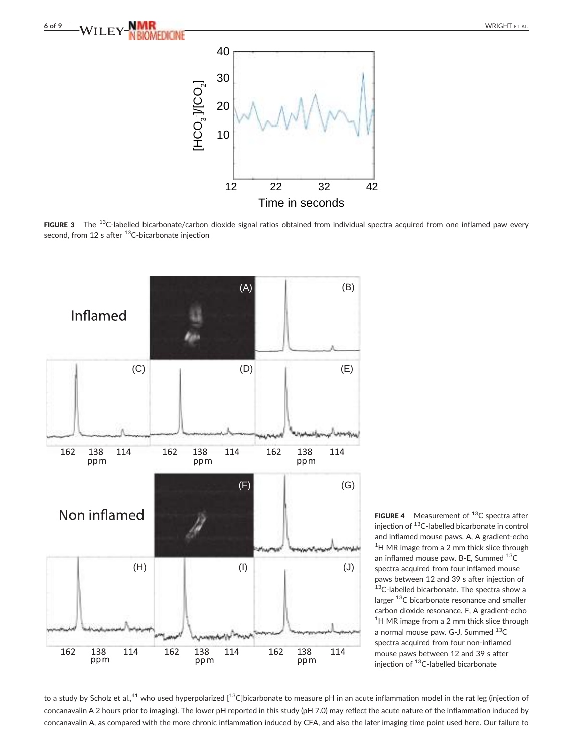

FIGURE 3 The <sup>13</sup>C-labelled bicarbonate/carbon dioxide signal ratios obtained from individual spectra acquired from one inflamed paw every second, from 12 s after  $^{13}$ C-bicarbonate injection



**FIGURE 4** Measurement of  $^{13}C$  spectra after injection of 13C‐labelled bicarbonate in control and inflamed mouse paws. A, A gradient‐echo <sup>1</sup>H MR image from a 2 mm thick slice through an inflamed mouse paw. B-E, Summed <sup>13</sup>C spectra acquired from four inflamed mouse paws between 12 and 39 s after injection of 13C-labelled bicarbonate. The spectra show a larger <sup>13</sup>C bicarbonate resonance and smaller carbon dioxide resonance. F, A gradient‐echo <sup>1</sup>H MR image from a 2 mm thick slice through a normal mouse paw. G-J, Summed <sup>13</sup>C spectra acquired from four non-inflamed mouse paws between 12 and 39 s after injection of <sup>13</sup>C-labelled bicarbonate

to a study by Scholz et al.,<sup>41</sup> who used hyperpolarized [<sup>13</sup>C]bicarbonate to measure pH in an acute inflammation model in the rat leg (injection of concanavalin A 2 hours prior to imaging). The lower pH reported in this study (pH 7.0) may reflect the acute nature of the inflammation induced by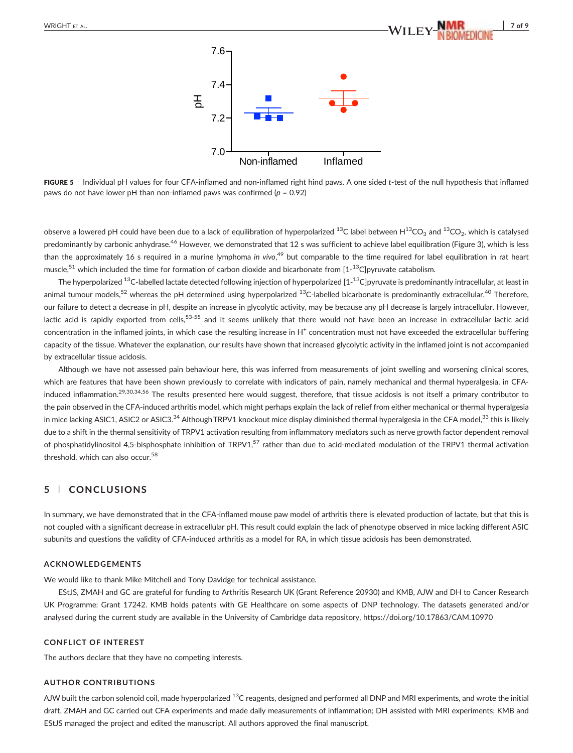

FIGURE 5 Individual pH values for four CFA-inflamed and non-inflamed right hind paws. A one sided t-test of the null hypothesis that inflamed paws do not have lower pH than non-inflamed paws was confirmed ( $p = 0.92$ )

observe a lowered pH could have been due to a lack of equilibration of hyperpolarized <sup>13</sup>C label between  $H^{13}CO_3$  and <sup>13</sup>CO<sub>2</sub>, which is catalysed predominantly by carbonic anhydrase.<sup>46</sup> However, we demonstrated that 12 s was sufficient to achieve label equilibration (Figure 3), which is less than the approximately 16 s required in a murine lymphoma in vivo,<sup>49</sup> but comparable to the time required for label equilibration in rat heart muscle,<sup>51</sup> which included the time for formation of carbon dioxide and bicarbonate from [1-<sup>13</sup>C]pyruvate catabolism.

The hyperpolarized  $^{13}$ C-labelled lactate detected following injection of hyperpolarized [1- $^{13}$ C]pyruvate is predominantly intracellular, at least in animal tumour models,<sup>52</sup> whereas the pH determined using hyperpolarized <sup>13</sup>C-labelled bicarbonate is predominantly extracellular.<sup>40</sup> Therefore, our failure to detect a decrease in pH, despite an increase in glycolytic activity, may be because any pH decrease is largely intracellular. However, lactic acid is rapidly exported from cells,<sup>53-55</sup> and it seems unlikely that there would not have been an increase in extracellular lactic acid concentration in the inflamed joints, in which case the resulting increase in  $H^+$  concentration must not have exceeded the extracellular buffering capacity of the tissue. Whatever the explanation, our results have shown that increased glycolytic activity in the inflamed joint is not accompanied by extracellular tissue acidosis.

Although we have not assessed pain behaviour here, this was inferred from measurements of joint swelling and worsening clinical scores, which are features that have been shown previously to correlate with indicators of pain, namely mechanical and thermal hyperalgesia, in CFAinduced inflammation.<sup>29,30,34,56</sup> The results presented here would suggest, therefore, that tissue acidosis is not itself a primary contributor to the pain observed in the CFA‐induced arthritis model, which might perhaps explain the lack of relief from either mechanical or thermal hyperalgesia in mice lacking ASIC1, ASIC2 or ASIC3.<sup>34</sup> Although TRPV1 knockout mice display diminished thermal hyperalgesia in the CFA model,<sup>33</sup> this is likely due to a shift in the thermal sensitivity of TRPV1 activation resulting from inflammatory mediators such as nerve growth factor dependent removal of phosphatidylinositol 4,5-bisphosphate inhibition of TRPV1,<sup>57</sup> rather than due to acid-mediated modulation of the TRPV1 thermal activation threshold, which can also occur.<sup>58</sup>

#### 5 | CONCLUSIONS

In summary, we have demonstrated that in the CFA‐inflamed mouse paw model of arthritis there is elevated production of lactate, but that this is not coupled with a significant decrease in extracellular pH. This result could explain the lack of phenotype observed in mice lacking different ASIC subunits and questions the validity of CFA‐induced arthritis as a model for RA, in which tissue acidosis has been demonstrated.

#### ACKNOWLEDGEMENTS

We would like to thank Mike Mitchell and Tony Davidge for technical assistance.

EStJS, ZMAH and GC are grateful for funding to Arthritis Research UK (Grant Reference 20930) and KMB, AJW and DH to Cancer Research UK Programme: Grant 17242. KMB holds patents with GE Healthcare on some aspects of DNP technology. The datasets generated and/or analysed during the current study are available in the University of Cambridge data repository,<https://doi.org/10.17863/CAM.10970>

#### CONFLICT OF INTEREST

The authors declare that they have no competing interests.

#### AUTHOR CONTRIBUTIONS

AJW built the carbon solenoid coil, made hyperpolarized <sup>13</sup>C reagents, designed and performed all DNP and MRI experiments, and wrote the initial draft. ZMAH and GC carried out CFA experiments and made daily measurements of inflammation; DH assisted with MRI experiments; KMB and EStJS managed the project and edited the manuscript. All authors approved the final manuscript.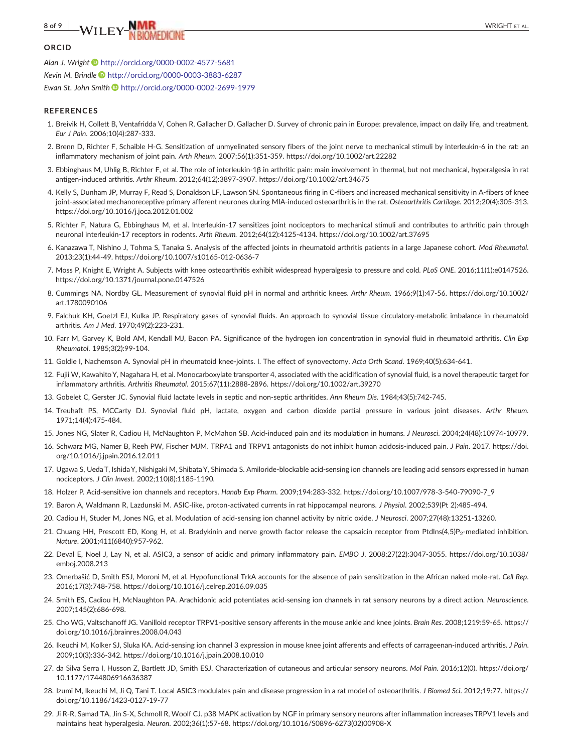# $\mathsf{WILEY\_NMR}$  wright et al.

#### **ORCID**

Alan J. Wright <http://orcid.org/0000-0002-4577-5681> Kevin M. Brindle <http://orcid.org/0000-0003-3883-6287> Ewan St. John Smith <http://orcid.org/0000-0002-2699-1979>

#### **REFERENCES**

- 1. Breivik H, Collett B, Ventafridda V, Cohen R, Gallacher D, Gallacher D. Survey of chronic pain in Europe: prevalence, impact on daily life, and treatment. Eur J Pain. 2006;10(4):287‐333.
- 2. Brenn D, Richter F, Schaible H‐G. Sensitization of unmyelinated sensory fibers of the joint nerve to mechanical stimuli by interleukin‐6 in the rat: an inflammatory mechanism of joint pain. Arth Rheum. 2007;56(1):351‐359.<https://doi.org/10.1002/art.22282>
- 3. Ebbinghaus M, Uhlig B, Richter F, et al. The role of interleukin-1β in arthritic pain: main involvement in thermal, but not mechanical, hyperalgesia in rat antigen‐induced arthritis. Arthr Rheum. 2012;64(12):3897‐3907.<https://doi.org/10.1002/art.34675>
- 4. Kelly S, Dunham JP, Murray F, Read S, Donaldson LF, Lawson SN. Spontaneous firing in C‐fibers and increased mechanical sensitivity in A‐fibers of knee joint-associated mechanoreceptive primary afferent neurones during MIA-induced osteoarthritis in the rat. Osteoarthritis Cartilage. 2012;20(4):305-313. <https://doi.org/10.1016/j.joca.2012.01.002>
- 5. Richter F, Natura G, Ebbinghaus M, et al. Interleukin‐17 sensitizes joint nociceptors to mechanical stimuli and contributes to arthritic pain through neuronal interleukin‐17 receptors in rodents. Arth Rheum. 2012;64(12):4125‐4134.<https://doi.org/10.1002/art.37695>
- 6. Kanazawa T, Nishino J, Tohma S, Tanaka S. Analysis of the affected joints in rheumatoid arthritis patients in a large Japanese cohort. Mod Rheumatol. 2013;23(1):44‐49. [https://doi.org/10.1007/s10165](https://doi.org/10.1007/s10165-012-0636-7)‐012‐0636‐7
- 7. Moss P, Knight E, Wright A. Subjects with knee osteoarthritis exhibit widespread hyperalgesia to pressure and cold. PLoS ONE. 2016;11(1):e0147526. <https://doi.org/10.1371/journal.pone.0147526>
- 8. Cummings NA, Nordby GL. Measurement of synovial fluid pH in normal and arthritic knees. Arthr Rheum. 1966;9(1):47‐56. [https://doi.org/10.1002/](https://doi.org/10.1002/art.1780090106) [art.1780090106](https://doi.org/10.1002/art.1780090106)
- 9. Falchuk KH, Goetzl EJ, Kulka JP. Respiratory gases of synovial fluids. An approach to synovial tissue circulatory‐metabolic imbalance in rheumatoid arthritis. Am J Med. 1970;49(2):223‐231.
- 10. Farr M, Garvey K, Bold AM, Kendall MJ, Bacon PA. Significance of the hydrogen ion concentration in synovial fluid in rheumatoid arthritis. Clin Exp Rheumatol. 1985;3(2):99‐104.
- 11. Goldie I, Nachemson A. Synovial pH in rheumatoid knee‐joints. I. The effect of synovectomy. Acta Orth Scand. 1969;40(5):634‐641.
- 12. Fujii W, Kawahito Y, Nagahara H, et al. Monocarboxylate transporter 4, associated with the acidification of synovial fluid, is a novel therapeutic target for inflammatory arthritis. Arthritis Rheumatol. 2015;67(11):2888‐2896.<https://doi.org/10.1002/art.39270>
- 13. Gobelet C, Gerster JC. Synovial fluid lactate levels in septic and non‐septic arthritides. Ann Rheum Dis. 1984;43(5):742‐745.
- 14. Treuhaft PS, MCCarty DJ. Synovial fluid pH, lactate, oxygen and carbon dioxide partial pressure in various joint diseases. Arthr Rheum. 1971;14(4):475‐484.
- 15. Jones NG, Slater R, Cadiou H, McNaughton P, McMahon SB. Acid‐induced pain and its modulation in humans. J Neurosci. 2004;24(48):10974‐10979.
- 16. Schwarz MG, Namer B, Reeh PW, Fischer MJM. TRPA1 and TRPV1 antagonists do not inhibit human acidosis-induced pain. J Pain. 2017. [https://doi.](https://doi.org/10.1016/j.jpain.2016.12.011) [org/10.1016/j.jpain.2016.12.011](https://doi.org/10.1016/j.jpain.2016.12.011)
- 17. Ugawa S, Ueda T, Ishida Y, Nishigaki M, Shibata Y, Shimada S. Amiloride‐blockable acid‐sensing ion channels are leading acid sensors expressed in human nociceptors. J Clin Invest. 2002;110(8):1185‐1190.
- 18. Holzer P. Acid‐sensitive ion channels and receptors. Handb Exp Pharm. 2009;194:283‐332. [https://doi.org/10.1007/978](https://doi.org/10.1007/978-3-540-79090-7_9)‐3‐540‐79090‐7\_9
- 19. Baron A, Waldmann R, Lazdunski M. ASIC‐like, proton‐activated currents in rat hippocampal neurons. J Physiol. 2002;539(Pt 2):485‐494.
- 20. Cadiou H, Studer M, Jones NG, et al. Modulation of acid‐sensing ion channel activity by nitric oxide. J Neurosci. 2007;27(48):13251‐13260.
- 21. Chuang HH, Prescott ED, Kong H, et al. Bradykinin and nerve growth factor release the capsaicin receptor from PtdIns(4,5)P<sub>2</sub>-mediated inhibition. Nature. 2001;411(6840):957‐962.
- 22. Deval E, Noel J, Lay N, et al. ASIC3, a sensor of acidic and primary inflammatory pain. EMBO J. 2008;27(22):3047‐3055. [https://doi.org/10.1038/](https://doi.org/10.1038/emboj.2008.213) [emboj.2008.213](https://doi.org/10.1038/emboj.2008.213)
- 23. Omerbašić D, Smith ESJ, Moroni M, et al. Hypofunctional TrkA accounts for the absence of pain sensitization in the African naked mole‐rat. Cell Rep. 2016;17(3):748‐758.<https://doi.org/10.1016/j.celrep.2016.09.035>
- 24. Smith ES, Cadiou H, McNaughton PA. Arachidonic acid potentiates acid-sensing ion channels in rat sensory neurons by a direct action. Neuroscience. 2007;145(2):686‐698.
- 25. Cho WG, Valtschanoff JG. Vanilloid receptor TRPV1‐positive sensory afferents in the mouse ankle and knee joints. Brain Res. 2008;1219:59‐65. [https://](https://doi.org/10.1016/j.brainres.2008.04.043) [doi.org/10.1016/j.brainres.2008.04.043](https://doi.org/10.1016/j.brainres.2008.04.043)
- 26. Ikeuchi M, Kolker SJ, Sluka KA. Acid-sensing ion channel 3 expression in mouse knee joint afferents and effects of carrageenan-induced arthritis. J Pain. 2009;10(3):336‐342.<https://doi.org/10.1016/j.jpain.2008.10.010>
- 27. da Silva Serra I, Husson Z, Bartlett JD, Smith ESJ. Characterization of cutaneous and articular sensory neurons. Mol Pain. 2016;12(0). [https://doi.org/](https://doi.org/10.1177/1744806916636387) [10.1177/1744806916636387](https://doi.org/10.1177/1744806916636387)
- 28. Izumi M, Ikeuchi M, Ji Q, Tani T. Local ASIC3 modulates pain and disease progression in a rat model of osteoarthritis. J Biomed Sci. 2012;19:77. [https://](https://doi.org/10.1186/1423-0127-19-77) [doi.org/10.1186/1423](https://doi.org/10.1186/1423-0127-19-77)‐0127‐19‐77
- 29. Ji R‐R, Samad TA, Jin S‐X, Schmoll R, Woolf CJ. p38 MAPK activation by NGF in primary sensory neurons after inflammation increases TRPV1 levels and maintains heat hyperalgesia. Neuron. 2002;36(1):57‐68. [https://doi.org/10.1016/S0896](https://doi.org/10.1016/S0896-6273(02)00908-X)‐6273(02)00908‐X